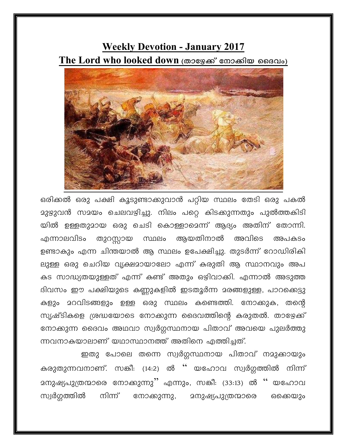## **Weekly Devotion - January 2017** The Lord who looked down (താഴേക്ക് നോക്കിയ ദൈവം)



ഒരിക്കൽ ഒരു പക്ഷി കൂടുണ്ടാക്കുവാൻ പറ്റിയ സ്ഥലം തേടി ഒരു പകൽ **മു**ഴുവൻ സമയം ചെലവഴിച്ചു. നിലം പറ്റെ കിടക്കുന്നതും പുൽത്തകിടി യിൽ ഉള്ളതുമായ ഒരു ചെടി കൊള്ളാമെന്ന് ആദ്യം അതിന് തോന്നി. തുറസ്സായ സ്ഥലം ആയതിനാൽ അവിടെ എന്നാലവിടം അപകടം ഉണ്ടാകും എന്ന ചിന്തയാൽ ആ സ്ഥലം ഉപേക്ഷിച്ചു. തുടർന്ന് റോഡിരികി ലുള്ള ഒരു ചെറിയ വൃക്ഷമായാലോ എന്ന് കരുതി ആ സ്ഥാനവും അപ കട സാദ്ധ്യതയുള്ളത് എന്ന് കണ്ട് അതും ഒഴിവാക്കി. എന്നാൽ അടുത്ത ദിവസം ഈ പക്ഷിയുടെ കണ്ണുകളിൽ ഇടതൂർന്ന മരങ്ങളുള്ള, പാറക്കെട്ടു കളും മറവിടങ്ങളും ഉള്ള ഒരു സ്ഥലം കണ്ടെത്തി. നോക്കുക, തന്റെ സൃഷ്ടികളെ ശ്രദ്ധയോടെ നോക്കുന്ന ദൈവത്തിന്റെ കരുതൽ. താഴേക്ക് നോക്കുന്ന ദൈവം അഥവാ സ്വർഗ്ഗസ്ഥനായ പിതാവ് അവയെ പുലർത്തു ന്നവനാകയാലാണ് യഥാസ്ഥാനത്ത് അതിനെ എത്തിച്ചത്.

ഇതു പോലെ തന്നെ സ്വർഗ്ഗസ്ഥനായ പിതാവ് നമുക്കായും കരുതുന്നവനാണ്. സങ്കീ: (14:2) ൽ '' യഹോവ സ്വർഗ്ഗത്തിൽ നിന്ന് മനുഷ്യപുത്രന്മാരെ നോക്കുന്നു<sup>?</sup>' എന്നും, സങ്കീ: (33:13) ൽ '' യഹോവ സ്വർഗ്ഗത്തിൽ നിന്ന്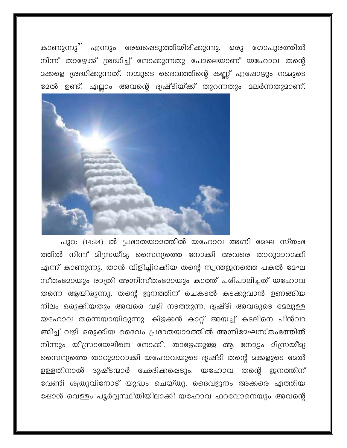കാണുന്നു'' എന്നും രേഖപ്പെടുത്തിയിരിക്കുന്നു. ഒരു ഗോപുരത്തിൽ നിന്ന് താഴേക്ക് ശ്രദ്ധിച്ച് നോക്കുന്നതു പോലെയാണ് യഹോവ തന്റെ മക്കളെ ശ്രദ്ധിക്കുന്നത്. നമ്മുടെ ദൈവത്തിന്റെ കണ്ണ് എഷോഴും നമ്മുടെ ഭേരി ഉണ്ട്. എല്ലാം അവന്റെ ദൃഷ്ടിയ്ക്ക് തുറന്നതും മലർന്നതുമാണ്.



പുറ: (14:24) ൽ പ്രഭാതയാമത്തിൽ യഹോവ അഗ്നി മേഘ സ്തംഭ ത്തിൽ നിന്ന് മിന്ധ്രയീമ്യ സൈന്യത്തെ നോക്കി അവരെ താറുമാറാക്കി എന്ന് കാണുന്നു. താൻ വിളിച്ചിറക്കിയ തന്റെ സ്വന്തജനത്തെ പകൽ മേഘ സ്തംഭമായും രാത്രി അഗ്നിസ്തംഭമായും കാത്ത് പരിപാലിച്ചത് യഹോവ തന്നെ ആയിരുന്നു. തന്റെ ജനത്തിന് ചെങ്കടൽ കടക്കുവാൻ ഉണങ്ങിയ നിലം ഒരുക്കിയതും അവരെ വഴി നടത്തുന്ന, ദൃഷ്ടി അവരുടെ മേലുള്ള യഹോവ തന്നെയായിരുന്നു. കിഴക്കൻ കാറ്റ് അയച്ച് കടലിനെ പിൻവാ ങ്ങിച്ച് വഴി ഒരുക്കിയ ദൈവം പ്രഭാതയാമത്തിൽ അഗ്നിദേഘസ്തംഭത്തിൽ നിന്നും യിസ്രായേലിനെ നോക്കി. താഴേക്കുള്ള ആ നോട്ടം മിസ്രയീമ്യ സൈന്യത്തെ താറുമാറാക്കി യഹോവയുടെ ദൃഷ്ടി തന്റെ മക്കളുടെ മേൽ ഉള്ളതിനാൽ ദുഷ്ടന്മാർ ഛേദിക്കപ്പെടും. യഹോവ തന്റെ ഇനത്തിന് വേണ്ടി ശത്രുവിനോട് യുദ്ധം ചെയ്തു. ദൈവജനം അക്കരെ എത്തിയ ഷോൾ വെള്ളം പൂർവ്വസ്ഥിതിയിലാക്കി യഹോവ ഫറവോനെയും അവന്റെ